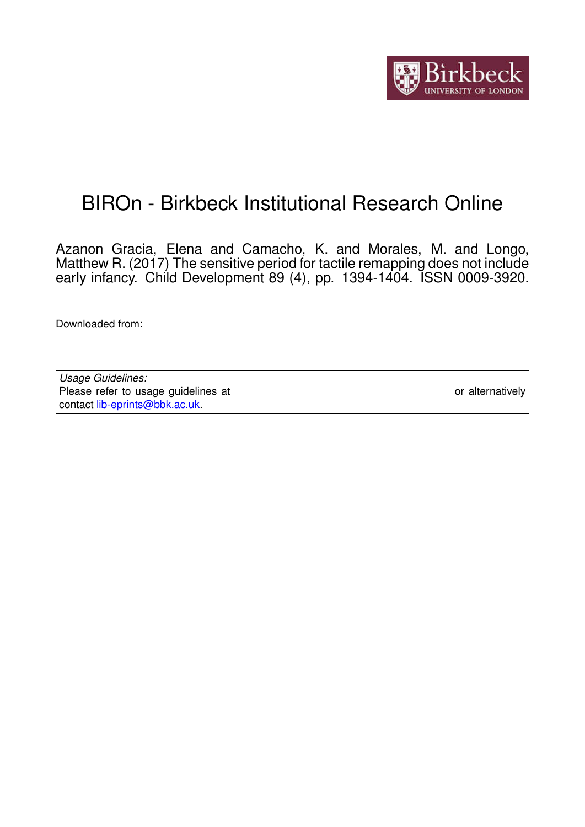

# BIROn - Birkbeck Institutional Research Online

Azanon Gracia, Elena and Camacho, K. and Morales, M. and Longo, Matthew R. (2017) The sensitive period for tactile remapping does not include early infancy. Child Development 89 (4), pp. 1394-1404. ISSN 0009-3920.

Downloaded from: <https://eprints.bbk.ac.uk/id/eprint/17959/>

*Usage Guidelines:* Please refer to usage guidelines at <https://eprints.bbk.ac.uk/policies.html> or alternatively contact [lib-eprints@bbk.ac.uk.](mailto:lib-eprints@bbk.ac.uk)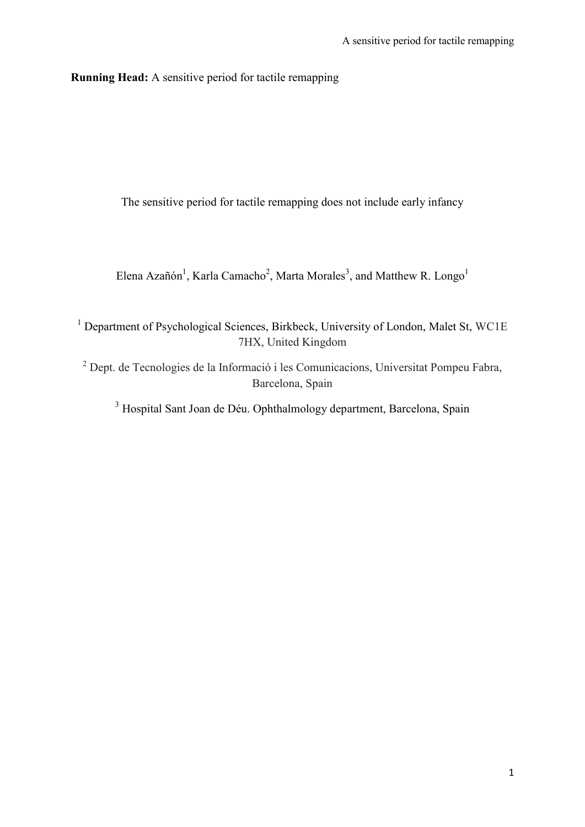**Running Head:** A sensitive period for tactile remapping

The sensitive period for tactile remapping does not include early infancy

Elena Azañón<sup>1</sup>, Karla Camacho<sup>2</sup>, Marta Morales<sup>3</sup>, and Matthew R. Longo<sup>1</sup>

<sup>1</sup> Department of Psychological Sciences, Birkbeck, University of London, Malet St, WC1E 7HX, United Kingdom

<sup>2</sup> Dept. de Tecnologies de la Informació i les Comunicacions, Universitat Pompeu Fabra, Barcelona, Spain

<sup>3</sup> Hospital Sant Joan de Déu. Ophthalmology department, Barcelona, Spain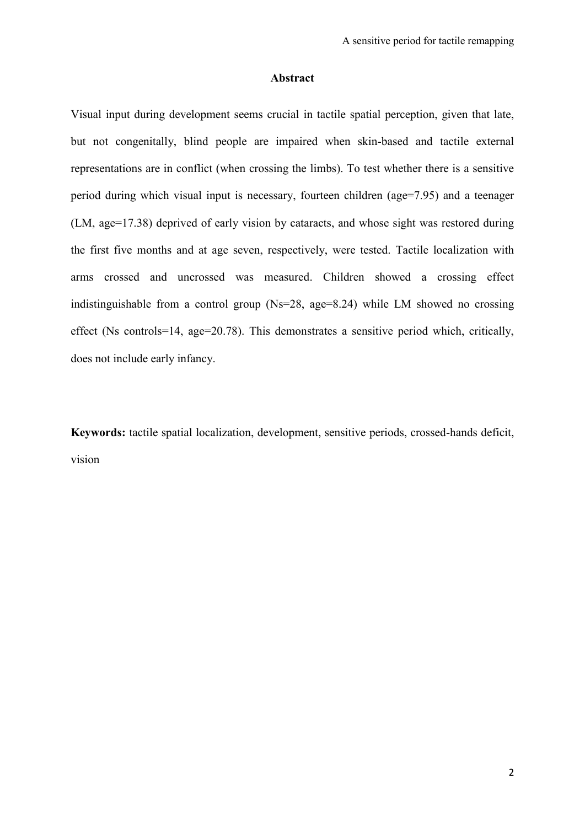#### **Abstract**

Visual input during development seems crucial in tactile spatial perception, given that late, but not congenitally, blind people are impaired when skin-based and tactile external representations are in conflict (when crossing the limbs). To test whether there is a sensitive period during which visual input is necessary, fourteen children (age=7.95) and a teenager (LM, age=17.38) deprived of early vision by cataracts, and whose sight was restored during the first five months and at age seven, respectively, were tested. Tactile localization with arms crossed and uncrossed was measured. Children showed a crossing effect indistinguishable from a control group (Ns=28, age=8.24) while LM showed no crossing effect (Ns controls=14, age=20.78). This demonstrates a sensitive period which, critically, does not include early infancy.

**Keywords:** tactile spatial localization, development, sensitive periods, crossed-hands deficit, vision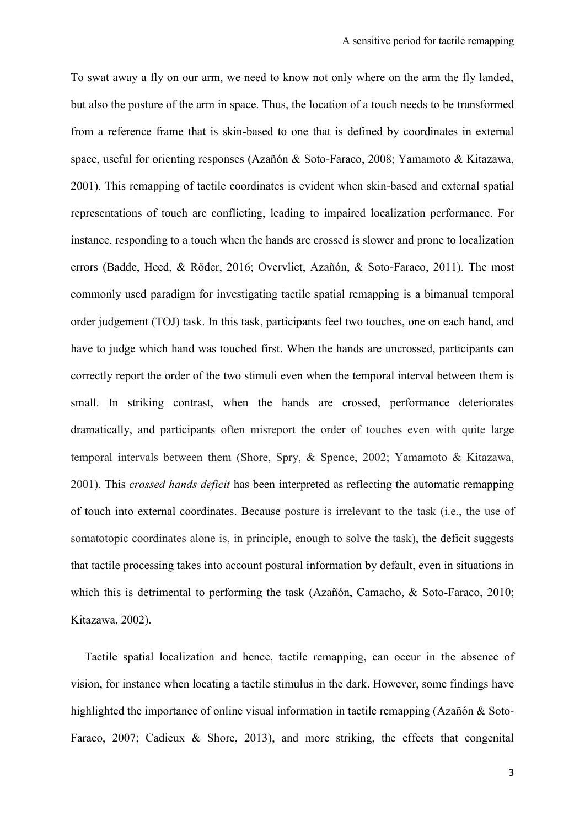To swat away a fly on our arm, we need to know not only where on the arm the fly landed, but also the posture of the arm in space. Thus, the location of a touch needs to be transformed from a reference frame that is skin-based to one that is defined by coordinates in external space, useful for orienting responses (Azañón & Soto-Faraco, 2008; Yamamoto & Kitazawa, 2001). This remapping of tactile coordinates is evident when skin-based and external spatial representations of touch are conflicting, leading to impaired localization performance. For instance, responding to a touch when the hands are crossed is slower and prone to localization errors (Badde, Heed, & Röder, 2016; Overvliet, Azañón, & Soto-Faraco, 2011). The most commonly used paradigm for investigating tactile spatial remapping is a bimanual temporal order judgement (TOJ) task. In this task, participants feel two touches, one on each hand, and have to judge which hand was touched first. When the hands are uncrossed, participants can correctly report the order of the two stimuli even when the temporal interval between them is small. In striking contrast, when the hands are crossed, performance deteriorates dramatically, and participants often misreport the order of touches even with quite large temporal intervals between them (Shore, Spry, & Spence, 2002; Yamamoto & Kitazawa, 2001). This *crossed hands deficit* has been interpreted as reflecting the automatic remapping of touch into external coordinates. Because posture is irrelevant to the task (i.e., the use of somatotopic coordinates alone is, in principle, enough to solve the task), the deficit suggests that tactile processing takes into account postural information by default, even in situations in which this is detrimental to performing the task (Azañón, Camacho, & Soto-Faraco, 2010; Kitazawa, 2002).

Tactile spatial localization and hence, tactile remapping, can occur in the absence of vision, for instance when locating a tactile stimulus in the dark. However, some findings have highlighted the importance of online visual information in tactile remapping (Azañón & Soto-Faraco, 2007; Cadieux & Shore, 2013), and more striking, the effects that congenital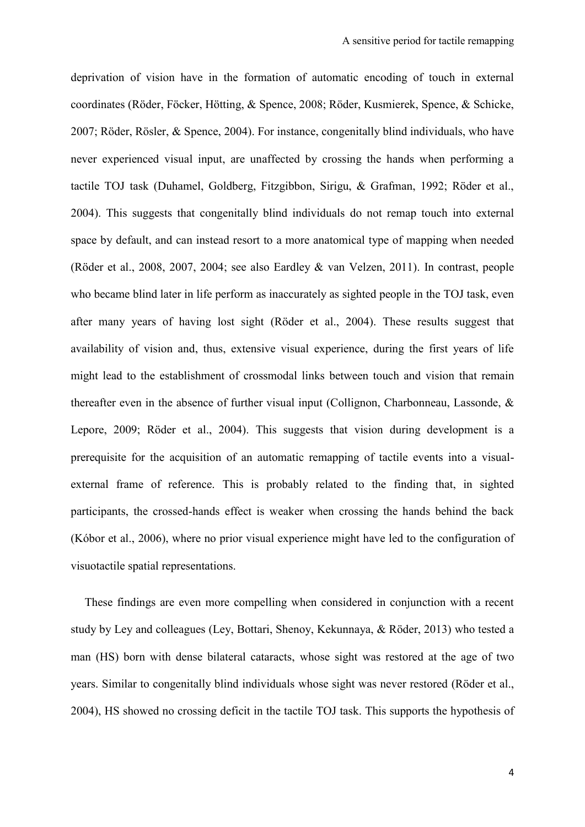deprivation of vision have in the formation of automatic encoding of touch in external coordinates (Röder, Föcker, Hötting, & Spence, 2008; Röder, Kusmierek, Spence, & Schicke, 2007; Röder, Rösler, & Spence, 2004). For instance, congenitally blind individuals, who have never experienced visual input, are unaffected by crossing the hands when performing a tactile TOJ task (Duhamel, Goldberg, Fitzgibbon, Sirigu, & Grafman, 1992; Röder et al., 2004). This suggests that congenitally blind individuals do not remap touch into external space by default, and can instead resort to a more anatomical type of mapping when needed (Röder et al., 2008, 2007, 2004; see also Eardley & van Velzen, 2011). In contrast, people who became blind later in life perform as inaccurately as sighted people in the TOJ task, even after many years of having lost sight (Röder et al., 2004). These results suggest that availability of vision and, thus, extensive visual experience, during the first years of life might lead to the establishment of crossmodal links between touch and vision that remain thereafter even in the absence of further visual input (Collignon, Charbonneau, Lassonde, & Lepore, 2009; Röder et al., 2004). This suggests that vision during development is a prerequisite for the acquisition of an automatic remapping of tactile events into a visualexternal frame of reference. This is probably related to the finding that, in sighted participants, the crossed-hands effect is weaker when crossing the hands behind the back (Kóbor et al., 2006), where no prior visual experience might have led to the configuration of visuotactile spatial representations.

These findings are even more compelling when considered in conjunction with a recent study by Ley and colleagues (Ley, Bottari, Shenoy, Kekunnaya, & Röder, 2013) who tested a man (HS) born with dense bilateral cataracts, whose sight was restored at the age of two years. Similar to congenitally blind individuals whose sight was never restored (Röder et al., 2004), HS showed no crossing deficit in the tactile TOJ task. This supports the hypothesis of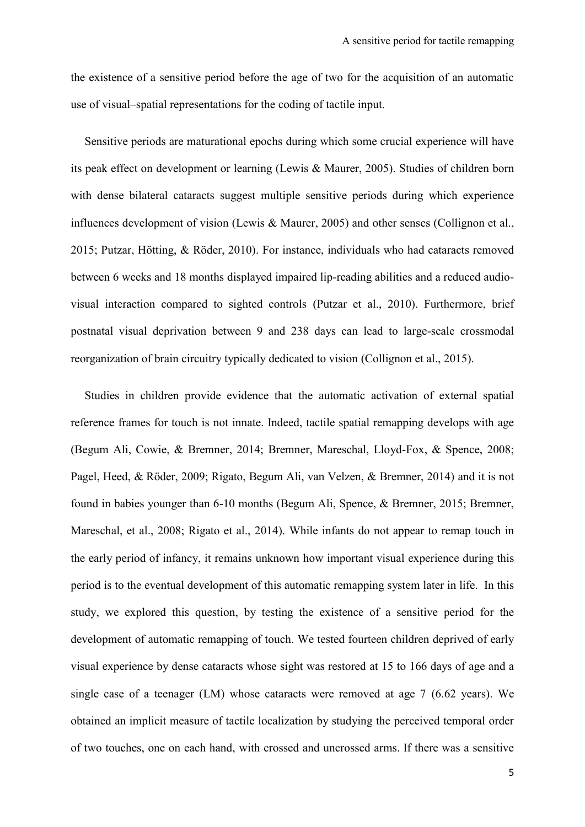the existence of a sensitive period before the age of two for the acquisition of an automatic use of visual–spatial representations for the coding of tactile input.

Sensitive periods are maturational epochs during which some crucial experience will have its peak effect on development or learning (Lewis & Maurer, 2005). Studies of children born with dense bilateral cataracts suggest multiple sensitive periods during which experience influences development of vision (Lewis & Maurer, 2005) and other senses (Collignon et al., 2015; Putzar, Hötting, & Röder, 2010). For instance, individuals who had cataracts removed between 6 weeks and 18 months displayed impaired lip-reading abilities and a reduced audiovisual interaction compared to sighted controls (Putzar et al., 2010). Furthermore, brief postnatal visual deprivation between 9 and 238 days can lead to large-scale crossmodal reorganization of brain circuitry typically dedicated to vision (Collignon et al., 2015).

Studies in children provide evidence that the automatic activation of external spatial reference frames for touch is not innate. Indeed, tactile spatial remapping develops with age (Begum Ali, Cowie, & Bremner, 2014; Bremner, Mareschal, Lloyd-Fox, & Spence, 2008; Pagel, Heed, & Röder, 2009; Rigato, Begum Ali, van Velzen, & Bremner, 2014) and it is not found in babies younger than 6-10 months (Begum Ali, Spence, & Bremner, 2015; Bremner, Mareschal, et al., 2008; Rigato et al., 2014). While infants do not appear to remap touch in the early period of infancy, it remains unknown how important visual experience during this period is to the eventual development of this automatic remapping system later in life. In this study, we explored this question, by testing the existence of a sensitive period for the development of automatic remapping of touch. We tested fourteen children deprived of early visual experience by dense cataracts whose sight was restored at 15 to 166 days of age and a single case of a teenager (LM) whose cataracts were removed at age 7 (6.62 years). We obtained an implicit measure of tactile localization by studying the perceived temporal order of two touches, one on each hand, with crossed and uncrossed arms. If there was a sensitive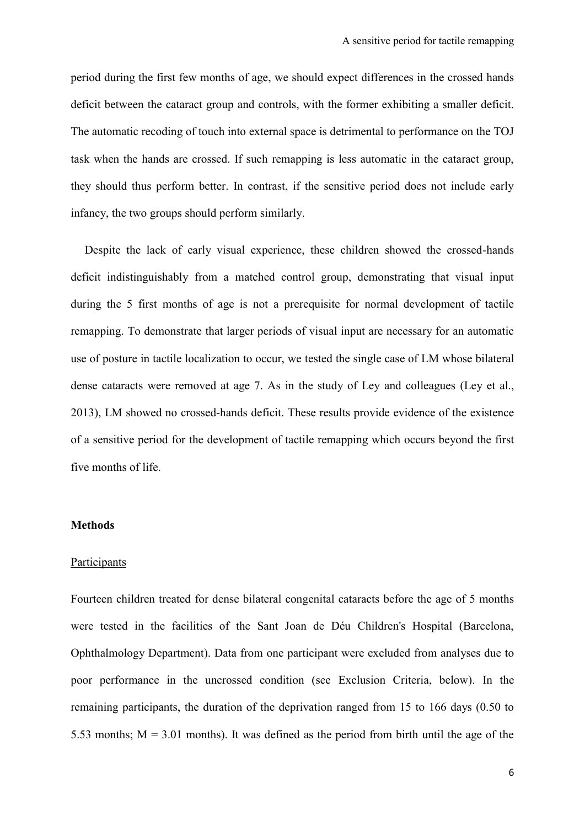period during the first few months of age, we should expect differences in the crossed hands deficit between the cataract group and controls, with the former exhibiting a smaller deficit. The automatic recoding of touch into external space is detrimental to performance on the TOJ task when the hands are crossed. If such remapping is less automatic in the cataract group, they should thus perform better. In contrast, if the sensitive period does not include early infancy, the two groups should perform similarly.

Despite the lack of early visual experience, these children showed the crossed-hands deficit indistinguishably from a matched control group, demonstrating that visual input during the 5 first months of age is not a prerequisite for normal development of tactile remapping. To demonstrate that larger periods of visual input are necessary for an automatic use of posture in tactile localization to occur, we tested the single case of LM whose bilateral dense cataracts were removed at age 7. As in the study of Ley and colleagues (Ley et al., 2013), LM showed no crossed-hands deficit. These results provide evidence of the existence of a sensitive period for the development of tactile remapping which occurs beyond the first five months of life.

#### **Methods**

#### Participants

Fourteen children treated for dense bilateral congenital cataracts before the age of 5 months were tested in the facilities of the Sant Joan de Déu Children's Hospital (Barcelona, Ophthalmology Department). Data from one participant were excluded from analyses due to poor performance in the uncrossed condition (see Exclusion Criteria, below). In the remaining participants, the duration of the deprivation ranged from 15 to 166 days (0.50 to 5.53 months;  $M = 3.01$  months). It was defined as the period from birth until the age of the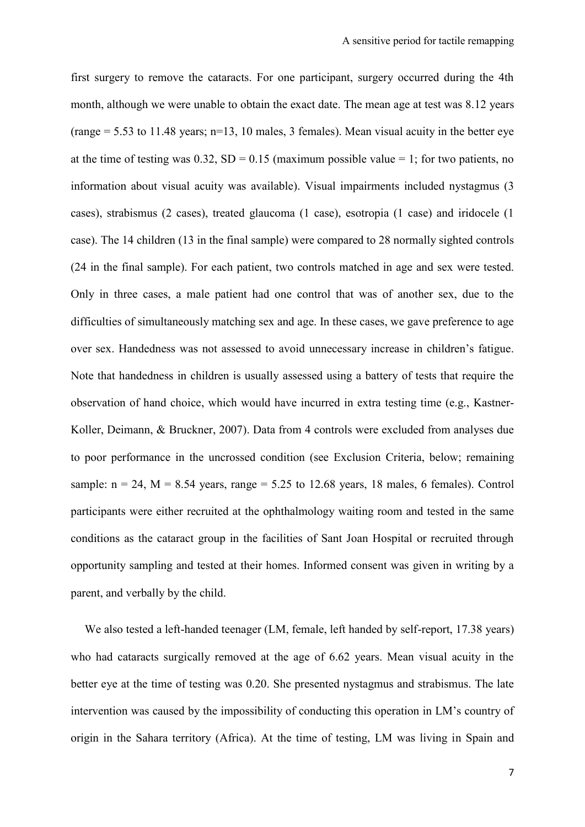first surgery to remove the cataracts. For one participant, surgery occurred during the 4th month, although we were unable to obtain the exact date. The mean age at test was 8.12 years (range  $= 5.53$  to 11.48 years; n=13, 10 males, 3 females). Mean visual acuity in the better eye at the time of testing was  $0.32$ , SD = 0.15 (maximum possible value = 1; for two patients, no information about visual acuity was available). Visual impairments included nystagmus (3 cases), strabismus (2 cases), treated glaucoma (1 case), esotropia (1 case) and iridocele (1 case). The 14 children (13 in the final sample) were compared to 28 normally sighted controls (24 in the final sample). For each patient, two controls matched in age and sex were tested. Only in three cases, a male patient had one control that was of another sex, due to the difficulties of simultaneously matching sex and age. In these cases, we gave preference to age over sex. Handedness was not assessed to avoid unnecessary increase in children's fatigue. Note that handedness in children is usually assessed using a battery of tests that require the observation of hand choice, which would have incurred in extra testing time (e.g., Kastner-Koller, Deimann, & Bruckner, 2007). Data from 4 controls were excluded from analyses due to poor performance in the uncrossed condition (see Exclusion Criteria, below; remaining sample:  $n = 24$ ,  $M = 8.54$  years, range = 5.25 to 12.68 years, 18 males, 6 females). Control participants were either recruited at the ophthalmology waiting room and tested in the same conditions as the cataract group in the facilities of Sant Joan Hospital or recruited through opportunity sampling and tested at their homes. Informed consent was given in writing by a parent, and verbally by the child.

We also tested a left-handed teenager (LM, female, left handed by self-report, 17.38 years) who had cataracts surgically removed at the age of 6.62 years. Mean visual acuity in the better eye at the time of testing was 0.20. She presented nystagmus and strabismus. The late intervention was caused by the impossibility of conducting this operation in LM's country of origin in the Sahara territory (Africa). At the time of testing, LM was living in Spain and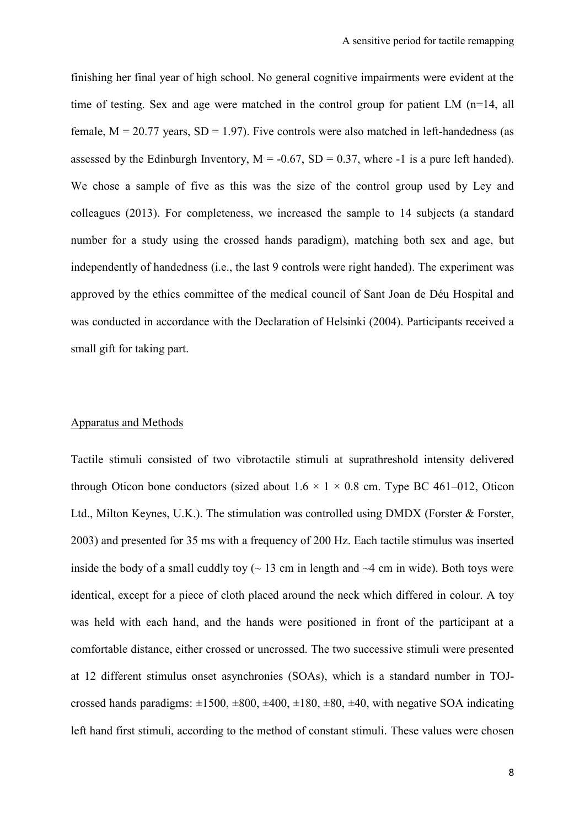finishing her final year of high school. No general cognitive impairments were evident at the time of testing. Sex and age were matched in the control group for patient LM (n=14, all female,  $M = 20.77$  years,  $SD = 1.97$ ). Five controls were also matched in left-handedness (as assessed by the Edinburgh Inventory,  $M = -0.67$ ,  $SD = 0.37$ , where -1 is a pure left handed). We chose a sample of five as this was the size of the control group used by Ley and colleagues (2013). For completeness, we increased the sample to 14 subjects (a standard number for a study using the crossed hands paradigm), matching both sex and age, but independently of handedness (i.e., the last 9 controls were right handed). The experiment was approved by the ethics committee of the medical council of Sant Joan de Déu Hospital and was conducted in accordance with the Declaration of Helsinki (2004). Participants received a small gift for taking part.

#### Apparatus and Methods

Tactile stimuli consisted of two vibrotactile stimuli at suprathreshold intensity delivered through Oticon bone conductors (sized about  $1.6 \times 1 \times 0.8$  cm. Type BC 461–012, Oticon Ltd., Milton Keynes, U.K.). The stimulation was controlled using DMDX (Forster & Forster, 2003) and presented for 35 ms with a frequency of 200 Hz. Each tactile stimulus was inserted inside the body of a small cuddly toy  $\sim$  13 cm in length and  $\sim$ 4 cm in wide). Both toys were identical, except for a piece of cloth placed around the neck which differed in colour. A toy was held with each hand, and the hands were positioned in front of the participant at a comfortable distance, either crossed or uncrossed. The two successive stimuli were presented at 12 different stimulus onset asynchronies (SOAs), which is a standard number in TOJcrossed hands paradigms:  $\pm 1500$ ,  $\pm 800$ ,  $\pm 400$ ,  $\pm 180$ ,  $\pm 80$ ,  $\pm 40$ , with negative SOA indicating left hand first stimuli, according to the method of constant stimuli. These values were chosen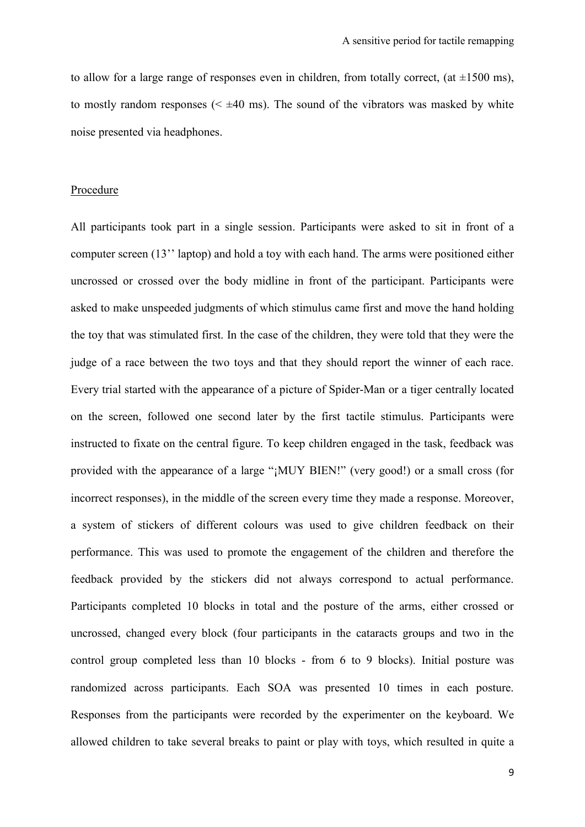to allow for a large range of responses even in children, from totally correct, (at  $\pm 1500$  ms), to mostly random responses  $( $\pm 40$  ms). The sound of the vibrators was masked by white$ noise presented via headphones.

#### Procedure

All participants took part in a single session. Participants were asked to sit in front of a computer screen (13'' laptop) and hold a toy with each hand. The arms were positioned either uncrossed or crossed over the body midline in front of the participant. Participants were asked to make unspeeded judgments of which stimulus came first and move the hand holding the toy that was stimulated first. In the case of the children, they were told that they were the judge of a race between the two toys and that they should report the winner of each race. Every trial started with the appearance of a picture of Spider-Man or a tiger centrally located on the screen, followed one second later by the first tactile stimulus. Participants were instructed to fixate on the central figure. To keep children engaged in the task, feedback was provided with the appearance of a large "¡MUY BIEN!" (very good!) or a small cross (for incorrect responses), in the middle of the screen every time they made a response. Moreover, a system of stickers of different colours was used to give children feedback on their performance. This was used to promote the engagement of the children and therefore the feedback provided by the stickers did not always correspond to actual performance. Participants completed 10 blocks in total and the posture of the arms, either crossed or uncrossed, changed every block (four participants in the cataracts groups and two in the control group completed less than 10 blocks - from 6 to 9 blocks). Initial posture was randomized across participants. Each SOA was presented 10 times in each posture. Responses from the participants were recorded by the experimenter on the keyboard. We allowed children to take several breaks to paint or play with toys, which resulted in quite a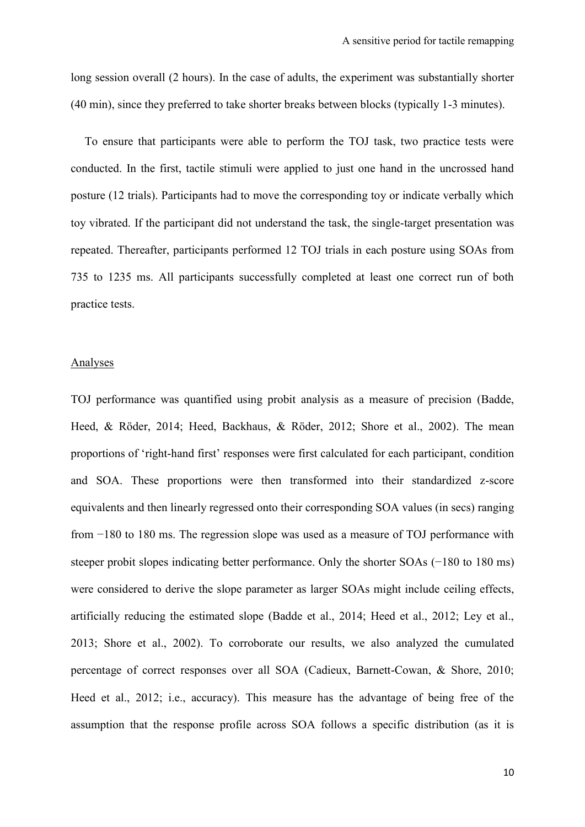long session overall (2 hours). In the case of adults, the experiment was substantially shorter (40 min), since they preferred to take shorter breaks between blocks (typically 1-3 minutes).

To ensure that participants were able to perform the TOJ task, two practice tests were conducted. In the first, tactile stimuli were applied to just one hand in the uncrossed hand posture (12 trials). Participants had to move the corresponding toy or indicate verbally which toy vibrated. If the participant did not understand the task, the single-target presentation was repeated. Thereafter, participants performed 12 TOJ trials in each posture using SOAs from 735 to 1235 ms. All participants successfully completed at least one correct run of both practice tests.

#### Analyses

TOJ performance was quantified using probit analysis as a measure of precision (Badde, Heed, & Röder, 2014; Heed, Backhaus, & Röder, 2012; Shore et al., 2002). The mean proportions of 'right-hand first' responses were first calculated for each participant, condition and SOA. These proportions were then transformed into their standardized z-score equivalents and then linearly regressed onto their corresponding SOA values (in secs) ranging from −180 to 180 ms. The regression slope was used as a measure of TOJ performance with steeper probit slopes indicating better performance. Only the shorter SOAs (−180 to 180 ms) were considered to derive the slope parameter as larger SOAs might include ceiling effects, artificially reducing the estimated slope (Badde et al., 2014; Heed et al., 2012; Ley et al., 2013; Shore et al., 2002). To corroborate our results, we also analyzed the cumulated percentage of correct responses over all SOA (Cadieux, Barnett-Cowan, & Shore, 2010; Heed et al., 2012; i.e., accuracy). This measure has the advantage of being free of the assumption that the response profile across SOA follows a specific distribution (as it is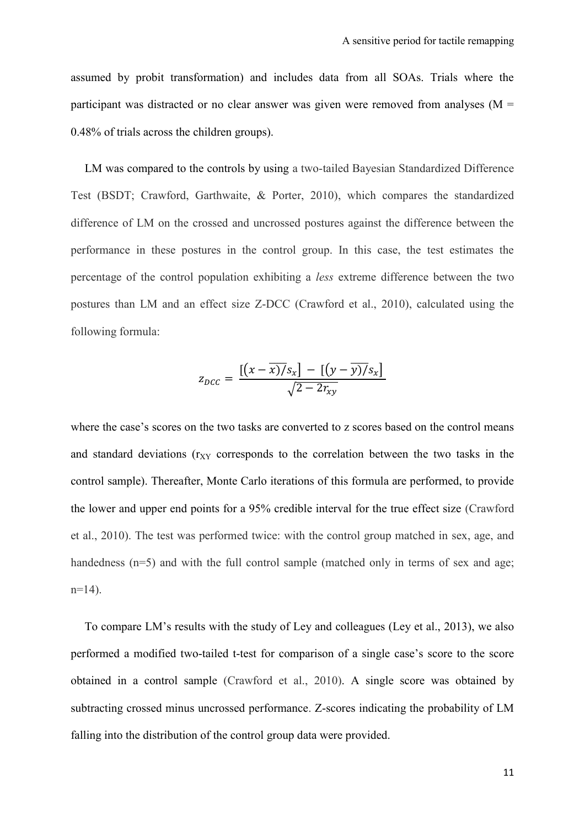assumed by probit transformation) and includes data from all SOAs. Trials where the participant was distracted or no clear answer was given were removed from analyses ( $M =$ 0.48% of trials across the children groups).

LM was compared to the controls by using a two-tailed Bayesian Standardized Difference Test (BSDT; Crawford, Garthwaite, & Porter, 2010), which compares the standardized difference of LM on the crossed and uncrossed postures against the difference between the performance in these postures in the control group. In this case, the test estimates the percentage of the control population exhibiting a *less* extreme difference between the two postures than LM and an effect size Z-DCC (Crawford et al., 2010), calculated using the following formula:

$$
z_{DCC} = \frac{\left[ \left( x - \overline{x} \right) / s_x \right] - \left[ \left( y - \overline{y} \right) / s_x \right]}{\sqrt{2 - 2r_{xy}}}
$$

where the case's scores on the two tasks are converted to z scores based on the control means and standard deviations ( $r_{XY}$  corresponds to the correlation between the two tasks in the control sample). Thereafter, Monte Carlo iterations of this formula are performed, to provide the lower and upper end points for a 95% credible interval for the true effect size (Crawford et al., 2010). The test was performed twice: with the control group matched in sex, age, and handedness (n=5) and with the full control sample (matched only in terms of sex and age;  $n=14$ ).

To compare LM's results with the study of Ley and colleagues (Ley et al., 2013), we also performed a modified two-tailed t-test for comparison of a single case's score to the score obtained in a control sample (Crawford et al., 2010). A single score was obtained by subtracting crossed minus uncrossed performance. Z-scores indicating the probability of LM falling into the distribution of the control group data were provided.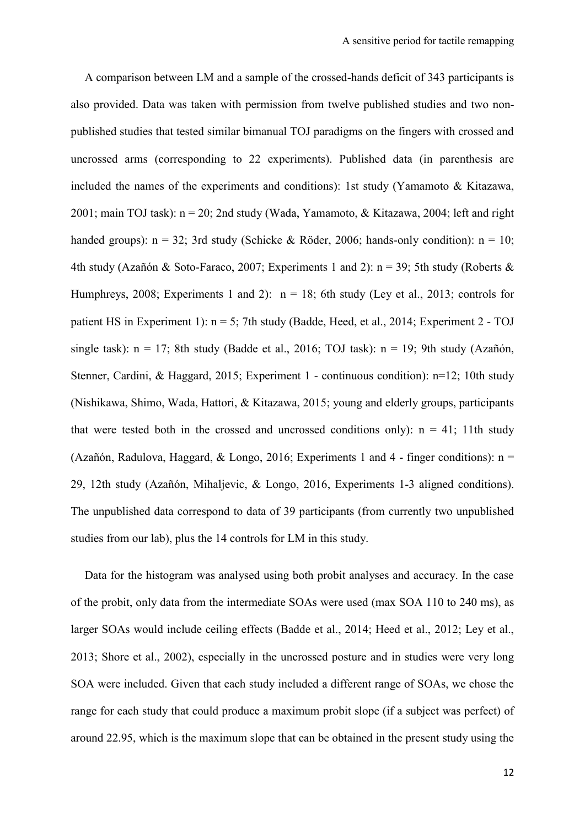A comparison between LM and a sample of the crossed-hands deficit of 343 participants is also provided. Data was taken with permission from twelve published studies and two nonpublished studies that tested similar bimanual TOJ paradigms on the fingers with crossed and uncrossed arms (corresponding to 22 experiments). Published data (in parenthesis are included the names of the experiments and conditions): 1st study (Yamamoto & Kitazawa, 2001; main TOJ task): n = 20; 2nd study (Wada, Yamamoto, & Kitazawa, 2004; left and right handed groups):  $n = 32$ ; 3rd study (Schicke & Röder, 2006; hands-only condition):  $n = 10$ ; 4th study (Azañón & Soto-Faraco, 2007; Experiments 1 and 2):  $n = 39$ ; 5th study (Roberts & Humphreys, 2008; Experiments 1 and 2):  $n = 18$ ; 6th study (Ley et al., 2013; controls for patient HS in Experiment 1):  $n = 5$ ; 7th study (Badde, Heed, et al., 2014; Experiment 2 - TOJ single task):  $n = 17$ ; 8th study (Badde et al., 2016; TOJ task):  $n = 19$ ; 9th study (Azañón, Stenner, Cardini, & Haggard, 2015; Experiment 1 - continuous condition): n=12; 10th study (Nishikawa, Shimo, Wada, Hattori, & Kitazawa, 2015; young and elderly groups, participants that were tested both in the crossed and uncrossed conditions only):  $n = 41$ ; 11th study (Azañón, Radulova, Haggard, & Longo, 2016; Experiments 1 and 4 - finger conditions):  $n =$ 29, 12th study (Azañón, Mihaljevic, & Longo, 2016, Experiments 1-3 aligned conditions). The unpublished data correspond to data of 39 participants (from currently two unpublished studies from our lab), plus the 14 controls for LM in this study.

Data for the histogram was analysed using both probit analyses and accuracy. In the case of the probit, only data from the intermediate SOAs were used (max SOA 110 to 240 ms), as larger SOAs would include ceiling effects (Badde et al., 2014; Heed et al., 2012; Ley et al., 2013; Shore et al., 2002), especially in the uncrossed posture and in studies were very long SOA were included. Given that each study included a different range of SOAs, we chose the range for each study that could produce a maximum probit slope (if a subject was perfect) of around 22.95, which is the maximum slope that can be obtained in the present study using the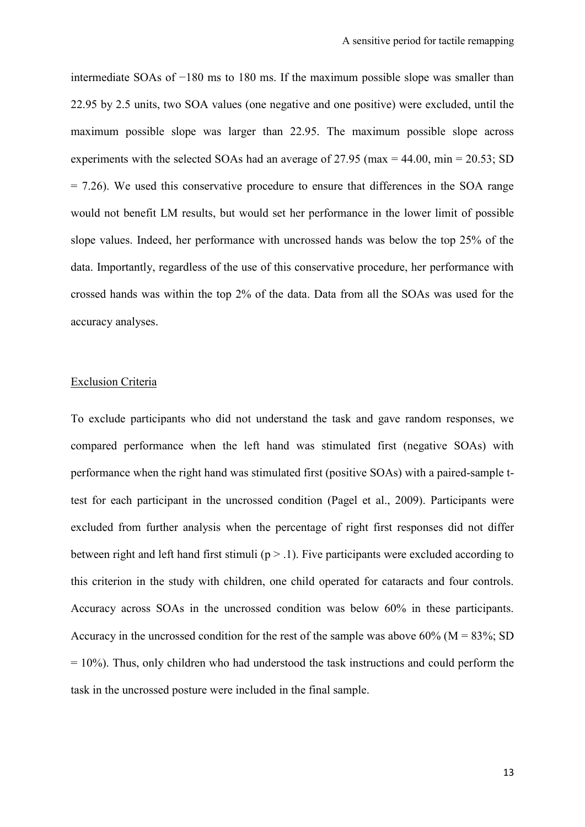intermediate SOAs of −180 ms to 180 ms. If the maximum possible slope was smaller than 22.95 by 2.5 units, two SOA values (one negative and one positive) were excluded, until the maximum possible slope was larger than 22.95. The maximum possible slope across experiments with the selected SOAs had an average of 27.95 (max =  $44.00$ , min =  $20.53$ ; SD  $= 7.26$ ). We used this conservative procedure to ensure that differences in the SOA range would not benefit LM results, but would set her performance in the lower limit of possible slope values. Indeed, her performance with uncrossed hands was below the top 25% of the data. Importantly, regardless of the use of this conservative procedure, her performance with crossed hands was within the top 2% of the data. Data from all the SOAs was used for the accuracy analyses.

### Exclusion Criteria

To exclude participants who did not understand the task and gave random responses, we compared performance when the left hand was stimulated first (negative SOAs) with performance when the right hand was stimulated first (positive SOAs) with a paired-sample ttest for each participant in the uncrossed condition (Pagel et al., 2009). Participants were excluded from further analysis when the percentage of right first responses did not differ between right and left hand first stimuli ( $p > 0.1$ ). Five participants were excluded according to this criterion in the study with children, one child operated for cataracts and four controls. Accuracy across SOAs in the uncrossed condition was below 60% in these participants. Accuracy in the uncrossed condition for the rest of the sample was above  $60\%$  (M = 83%; SD  $= 10\%$ ). Thus, only children who had understood the task instructions and could perform the task in the uncrossed posture were included in the final sample.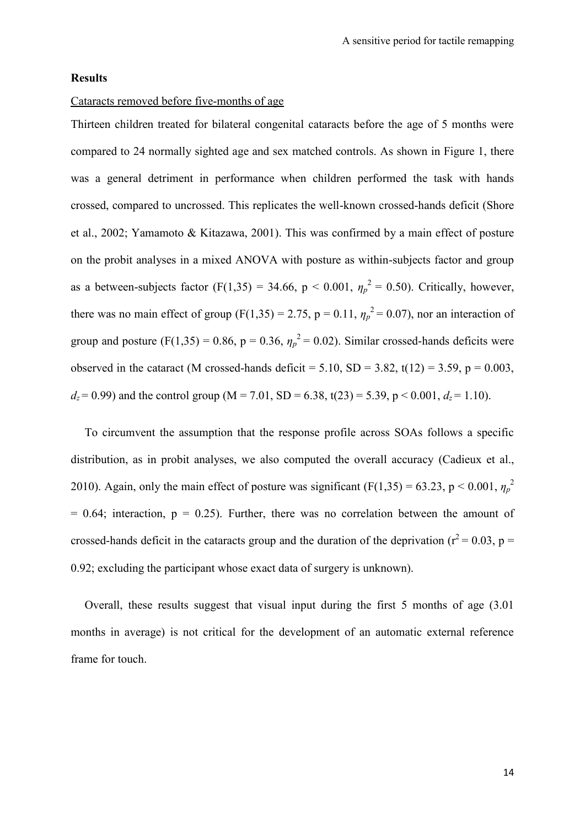## **Results**

## Cataracts removed before five-months of age

Thirteen children treated for bilateral congenital cataracts before the age of 5 months were compared to 24 normally sighted age and sex matched controls. As shown in Figure 1, there was a general detriment in performance when children performed the task with hands crossed, compared to uncrossed. This replicates the well-known crossed-hands deficit (Shore et al., 2002; Yamamoto & Kitazawa, 2001). This was confirmed by a main effect of posture on the probit analyses in a mixed ANOVA with posture as within-subjects factor and group as a between-subjects factor (F(1,35) = 34.66, p < 0.001,  $\eta_p^2 = 0.50$ ). Critically, however, there was no main effect of group (F(1,35) = 2.75, p = 0.11,  $\eta_p^2 = 0.07$ ), nor an interaction of group and posture (F(1,35) = 0.86, p = 0.36,  $\eta_p^2$  = 0.02). Similar crossed-hands deficits were observed in the cataract (M crossed-hands deficit = 5.10, SD = 3.82, t(12) = 3.59, p = 0.003,  $d_z = 0.99$ ) and the control group (M = 7.01, SD = 6.38, t(23) = 5.39, p < 0.001,  $d_z = 1.10$ ).

To circumvent the assumption that the response profile across SOAs follows a specific distribution, as in probit analyses, we also computed the overall accuracy (Cadieux et al., 2010). Again, only the main effect of posture was significant (F(1,35) = 63.23, p < 0.001,  $\eta_p^2$  $= 0.64$ ; interaction,  $p = 0.25$ ). Further, there was no correlation between the amount of crossed-hands deficit in the cataracts group and the duration of the deprivation ( $r^2$  = 0.03, p = 0.92; excluding the participant whose exact data of surgery is unknown).

Overall, these results suggest that visual input during the first 5 months of age (3.01 months in average) is not critical for the development of an automatic external reference frame for touch.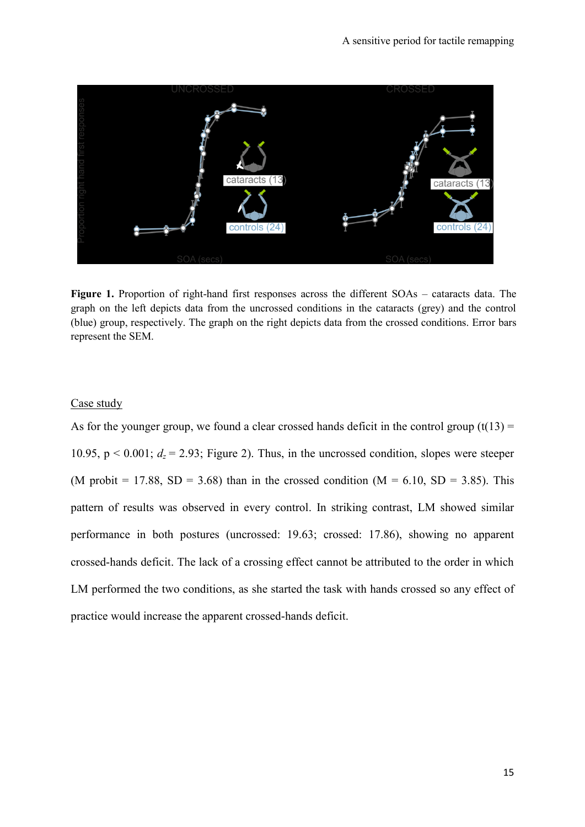

**Figure 1.** Proportion of right-hand first responses across the different SOAs – cataracts data. The graph on the left depicts data from the uncrossed conditions in the cataracts (grey) and the control (blue) group, respectively. The graph on the right depicts data from the crossed conditions. Error bars represent the SEM.

## Case study

As for the younger group, we found a clear crossed hands deficit in the control group  $(t(13) =$ 10.95,  $p < 0.001$ ;  $d_z = 2.93$ ; Figure 2). Thus, in the uncrossed condition, slopes were steeper (M probit = 17.88, SD = 3.68) than in the crossed condition ( $M = 6.10$ , SD = 3.85). This pattern of results was observed in every control. In striking contrast, LM showed similar performance in both postures (uncrossed: 19.63; crossed: 17.86), showing no apparent crossed-hands deficit. The lack of a crossing effect cannot be attributed to the order in which LM performed the two conditions, as she started the task with hands crossed so any effect of practice would increase the apparent crossed-hands deficit.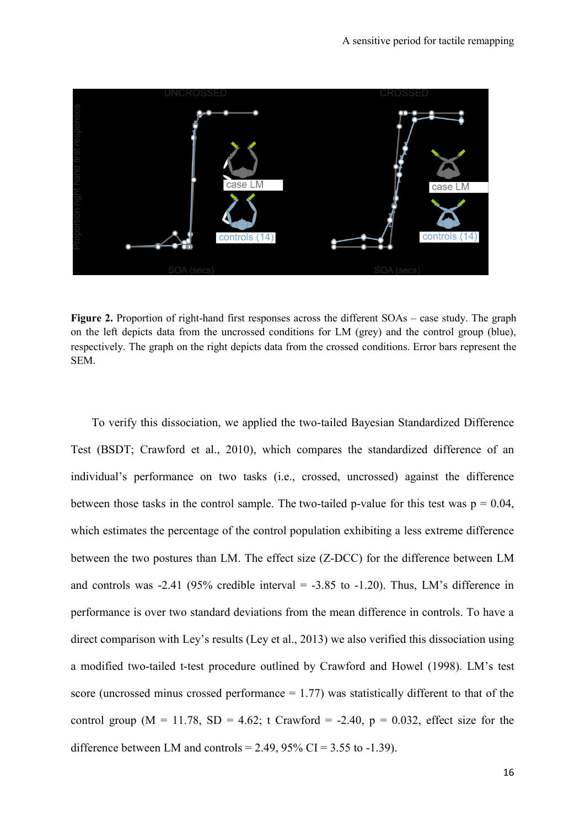

**Figure 2.** Proportion of right-hand first responses across the different SOAs – case study. The graph on the left depicts data from the uncrossed conditions for LM (grey) and the control group (blue), respectively. The graph on the right depicts data from the crossed conditions. Error bars represent the SEM.

To verify this dissociation, we applied the two-tailed Bayesian Standardized Difference Test (BSDT; Crawford et al., 2010), which compares the standardized difference of an individual's performance on two tasks (i.e., crossed, uncrossed) against the difference between those tasks in the control sample. The two-tailed p-value for this test was  $p = 0.04$ , which estimates the percentage of the control population exhibiting a less extreme difference between the two postures than LM. The effect size (Z-DCC) for the difference between LM and controls was  $-2.41$  (95% credible interval  $= -3.85$  to  $-1.20$ ). Thus, LM's difference in performance is over two standard deviations from the mean difference in controls. To have a direct comparison with Ley's results (Ley et al., 2013) we also verified this dissociation using a modified two-tailed t-test procedure outlined by Crawford and Howel (1998). LM's test score (uncrossed minus crossed performance  $= 1.77$ ) was statistically different to that of the control group ( $M = 11.78$ ,  $SD = 4.62$ ; t Crawford = -2.40,  $p = 0.032$ , effect size for the difference between LM and controls =  $2.49$ ,  $95\%$  CI =  $3.55$  to  $-1.39$ ).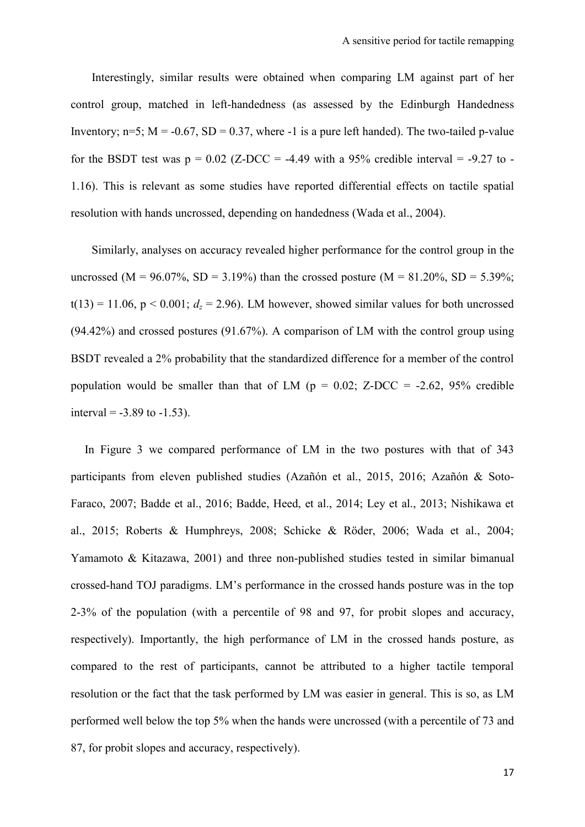Interestingly, similar results were obtained when comparing LM against part of her control group, matched in left-handedness (as assessed by the Edinburgh Handedness Inventory;  $n=5$ ;  $M = -0.67$ ,  $SD = 0.37$ , where -1 is a pure left handed). The two-tailed p-value for the BSDT test was  $p = 0.02$  (Z-DCC = -4.49 with a 95% credible interval = -9.27 to -1.16). This is relevant as some studies have reported differential effects on tactile spatial resolution with hands uncrossed, depending on handedness (Wada et al., 2004).

Similarly, analyses on accuracy revealed higher performance for the control group in the uncrossed (M = 96.07%, SD = 3.19%) than the crossed posture (M = 81.20%, SD = 5.39%;  $t(13) = 11.06$ ,  $p < 0.001$ ;  $d_z = 2.96$ ). LM however, showed similar values for both uncrossed (94.42%) and crossed postures (91.67%). A comparison of LM with the control group using BSDT revealed a 2% probability that the standardized difference for a member of the control population would be smaller than that of LM ( $p = 0.02$ ; Z-DCC = -2.62, 95% credible interval =  $-3.89$  to  $-1.53$ ).

In Figure 3 we compared performance of LM in the two postures with that of 343 participants from eleven published studies (Azañón et al., 2015, 2016; Azañón & Soto-Faraco, 2007; Badde et al., 2016; Badde, Heed, et al., 2014; Ley et al., 2013; Nishikawa et al., 2015; Roberts & Humphreys, 2008; Schicke & Röder, 2006; Wada et al., 2004; Yamamoto & Kitazawa, 2001) and three non-published studies tested in similar bimanual crossed-hand TOJ paradigms. LM's performance in the crossed hands posture was in the top 2-3% of the population (with a percentile of 98 and 97, for probit slopes and accuracy, respectively). Importantly, the high performance of LM in the crossed hands posture, as compared to the rest of participants, cannot be attributed to a higher tactile temporal resolution or the fact that the task performed by LM was easier in general. This is so, as LM performed well below the top 5% when the hands were uncrossed (with a percentile of 73 and 87, for probit slopes and accuracy, respectively).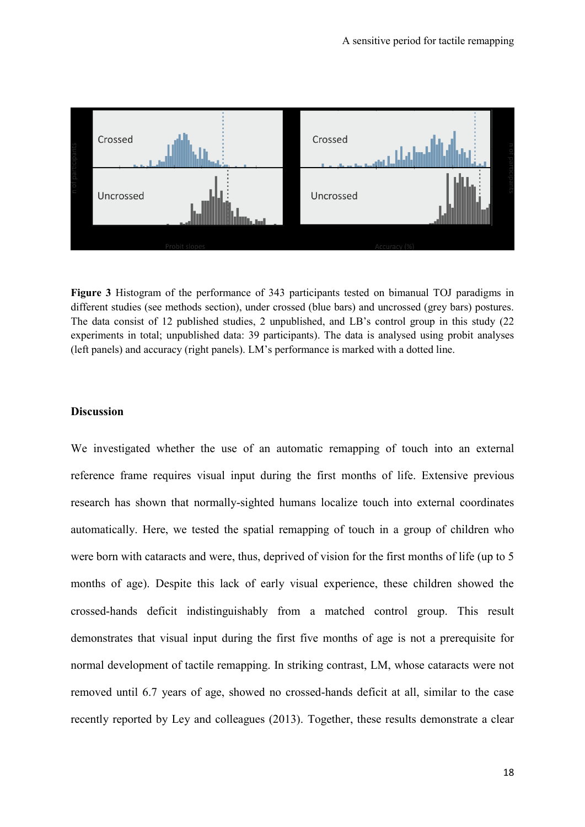

**Figure 3** Histogram of the performance of 343 participants tested on bimanual TOJ paradigms in different studies (see methods section), under crossed (blue bars) and uncrossed (grey bars) postures. The data consist of 12 published studies, 2 unpublished, and LB's control group in this study (22 experiments in total; unpublished data: 39 participants). The data is analysed using probit analyses (left panels) and accuracy (right panels). LM's performance is marked with a dotted line.

#### **Discussion**

We investigated whether the use of an automatic remapping of touch into an external reference frame requires visual input during the first months of life. Extensive previous research has shown that normally-sighted humans localize touch into external coordinates automatically. Here, we tested the spatial remapping of touch in a group of children who were born with cataracts and were, thus, deprived of vision for the first months of life (up to 5 months of age). Despite this lack of early visual experience, these children showed the crossed-hands deficit indistinguishably from a matched control group. This result demonstrates that visual input during the first five months of age is not a prerequisite for normal development of tactile remapping. In striking contrast, LM, whose cataracts were not removed until 6.7 years of age, showed no crossed-hands deficit at all, similar to the case recently reported by Ley and colleagues (2013). Together, these results demonstrate a clear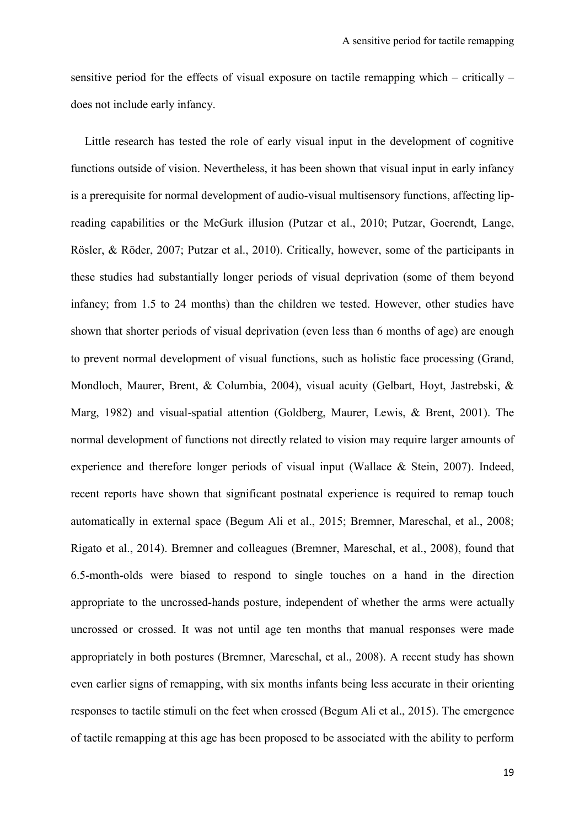sensitive period for the effects of visual exposure on tactile remapping which – critically – does not include early infancy.

Little research has tested the role of early visual input in the development of cognitive functions outside of vision. Nevertheless, it has been shown that visual input in early infancy is a prerequisite for normal development of audio-visual multisensory functions, affecting lipreading capabilities or the McGurk illusion (Putzar et al., 2010; Putzar, Goerendt, Lange, Rösler, & Röder, 2007; Putzar et al., 2010). Critically, however, some of the participants in these studies had substantially longer periods of visual deprivation (some of them beyond infancy; from 1.5 to 24 months) than the children we tested. However, other studies have shown that shorter periods of visual deprivation (even less than 6 months of age) are enough to prevent normal development of visual functions, such as holistic face processing (Grand, Mondloch, Maurer, Brent, & Columbia, 2004), visual acuity (Gelbart, Hoyt, Jastrebski, & Marg, 1982) and visual-spatial attention (Goldberg, Maurer, Lewis, & Brent, 2001). The normal development of functions not directly related to vision may require larger amounts of experience and therefore longer periods of visual input (Wallace & Stein, 2007). Indeed, recent reports have shown that significant postnatal experience is required to remap touch automatically in external space (Begum Ali et al., 2015; Bremner, Mareschal, et al., 2008; Rigato et al., 2014). Bremner and colleagues (Bremner, Mareschal, et al., 2008), found that 6.5-month-olds were biased to respond to single touches on a hand in the direction appropriate to the uncrossed-hands posture, independent of whether the arms were actually uncrossed or crossed. It was not until age ten months that manual responses were made appropriately in both postures (Bremner, Mareschal, et al., 2008). A recent study has shown even earlier signs of remapping, with six months infants being less accurate in their orienting responses to tactile stimuli on the feet when crossed (Begum Ali et al., 2015). The emergence of tactile remapping at this age has been proposed to be associated with the ability to perform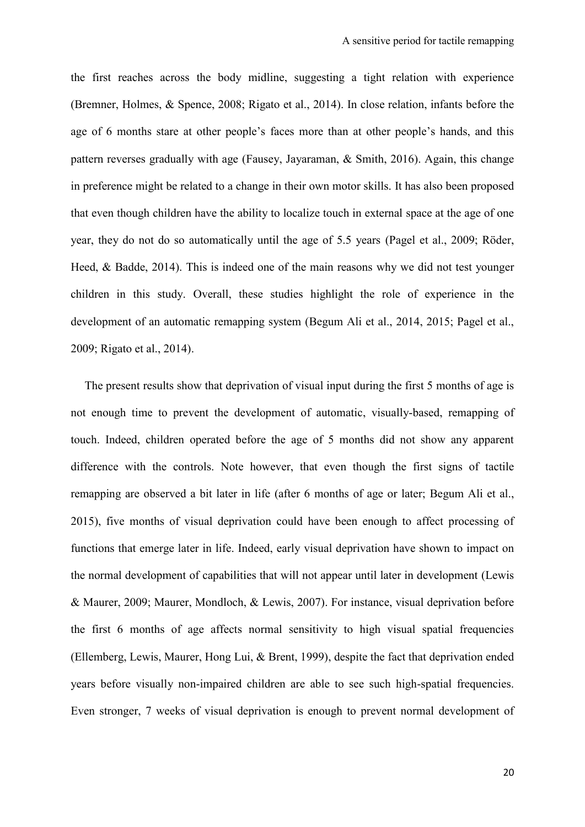the first reaches across the body midline, suggesting a tight relation with experience (Bremner, Holmes, & Spence, 2008; Rigato et al., 2014). In close relation, infants before the age of 6 months stare at other people's faces more than at other people's hands, and this pattern reverses gradually with age (Fausey, Jayaraman, & Smith, 2016). Again, this change in preference might be related to a change in their own motor skills. It has also been proposed that even though children have the ability to localize touch in external space at the age of one year, they do not do so automatically until the age of 5.5 years (Pagel et al., 2009; Röder, Heed, & Badde, 2014). This is indeed one of the main reasons why we did not test younger children in this study. Overall, these studies highlight the role of experience in the development of an automatic remapping system (Begum Ali et al., 2014, 2015; Pagel et al., 2009; Rigato et al., 2014).

The present results show that deprivation of visual input during the first 5 months of age is not enough time to prevent the development of automatic, visually-based, remapping of touch. Indeed, children operated before the age of 5 months did not show any apparent difference with the controls. Note however, that even though the first signs of tactile remapping are observed a bit later in life (after 6 months of age or later; Begum Ali et al., 2015), five months of visual deprivation could have been enough to affect processing of functions that emerge later in life. Indeed, early visual deprivation have shown to impact on the normal development of capabilities that will not appear until later in development (Lewis & Maurer, 2009; Maurer, Mondloch, & Lewis, 2007). For instance, visual deprivation before the first 6 months of age affects normal sensitivity to high visual spatial frequencies (Ellemberg, Lewis, Maurer, Hong Lui, & Brent, 1999), despite the fact that deprivation ended years before visually non-impaired children are able to see such high-spatial frequencies. Even stronger, 7 weeks of visual deprivation is enough to prevent normal development of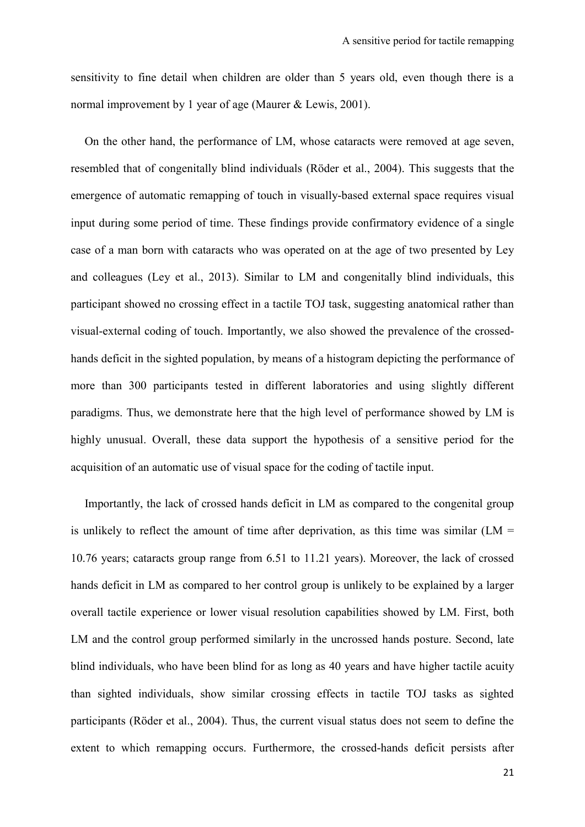sensitivity to fine detail when children are older than 5 years old, even though there is a normal improvement by 1 year of age (Maurer & Lewis, 2001).

On the other hand, the performance of LM, whose cataracts were removed at age seven, resembled that of congenitally blind individuals (Röder et al., 2004). This suggests that the emergence of automatic remapping of touch in visually-based external space requires visual input during some period of time. These findings provide confirmatory evidence of a single case of a man born with cataracts who was operated on at the age of two presented by Ley and colleagues (Ley et al., 2013). Similar to LM and congenitally blind individuals, this participant showed no crossing effect in a tactile TOJ task, suggesting anatomical rather than visual-external coding of touch. Importantly, we also showed the prevalence of the crossedhands deficit in the sighted population, by means of a histogram depicting the performance of more than 300 participants tested in different laboratories and using slightly different paradigms. Thus, we demonstrate here that the high level of performance showed by LM is highly unusual. Overall, these data support the hypothesis of a sensitive period for the acquisition of an automatic use of visual space for the coding of tactile input.

Importantly, the lack of crossed hands deficit in LM as compared to the congenital group is unlikely to reflect the amount of time after deprivation, as this time was similar  $(LM =$ 10.76 years; cataracts group range from 6.51 to 11.21 years). Moreover, the lack of crossed hands deficit in LM as compared to her control group is unlikely to be explained by a larger overall tactile experience or lower visual resolution capabilities showed by LM. First, both LM and the control group performed similarly in the uncrossed hands posture. Second, late blind individuals, who have been blind for as long as 40 years and have higher tactile acuity than sighted individuals, show similar crossing effects in tactile TOJ tasks as sighted participants (Röder et al., 2004). Thus, the current visual status does not seem to define the extent to which remapping occurs. Furthermore, the crossed-hands deficit persists after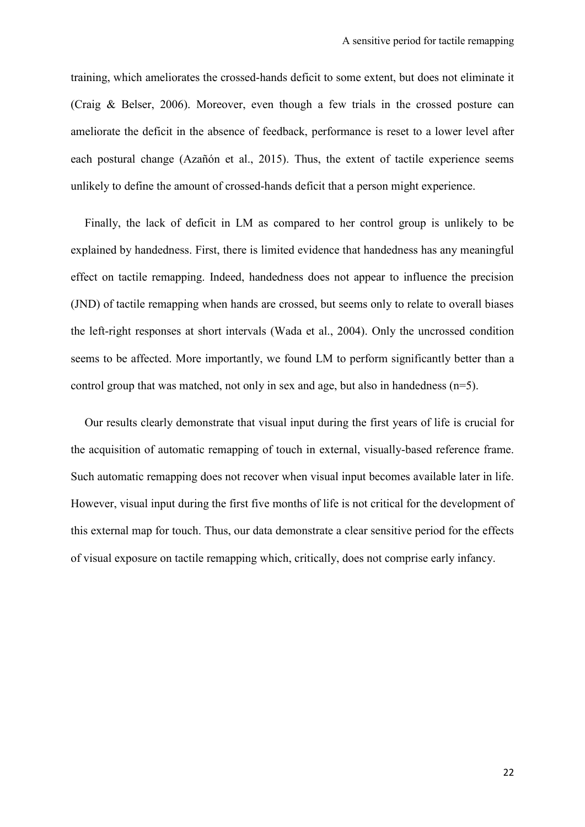training, which ameliorates the crossed-hands deficit to some extent, but does not eliminate it (Craig & Belser, 2006). Moreover, even though a few trials in the crossed posture can ameliorate the deficit in the absence of feedback, performance is reset to a lower level after each postural change (Azañón et al., 2015). Thus, the extent of tactile experience seems unlikely to define the amount of crossed-hands deficit that a person might experience.

Finally, the lack of deficit in LM as compared to her control group is unlikely to be explained by handedness. First, there is limited evidence that handedness has any meaningful effect on tactile remapping. Indeed, handedness does not appear to influence the precision (JND) of tactile remapping when hands are crossed, but seems only to relate to overall biases the left-right responses at short intervals (Wada et al., 2004). Only the uncrossed condition seems to be affected. More importantly, we found LM to perform significantly better than a control group that was matched, not only in sex and age, but also in handedness (n=5).

Our results clearly demonstrate that visual input during the first years of life is crucial for the acquisition of automatic remapping of touch in external, visually-based reference frame. Such automatic remapping does not recover when visual input becomes available later in life. However, visual input during the first five months of life is not critical for the development of this external map for touch. Thus, our data demonstrate a clear sensitive period for the effects of visual exposure on tactile remapping which, critically, does not comprise early infancy.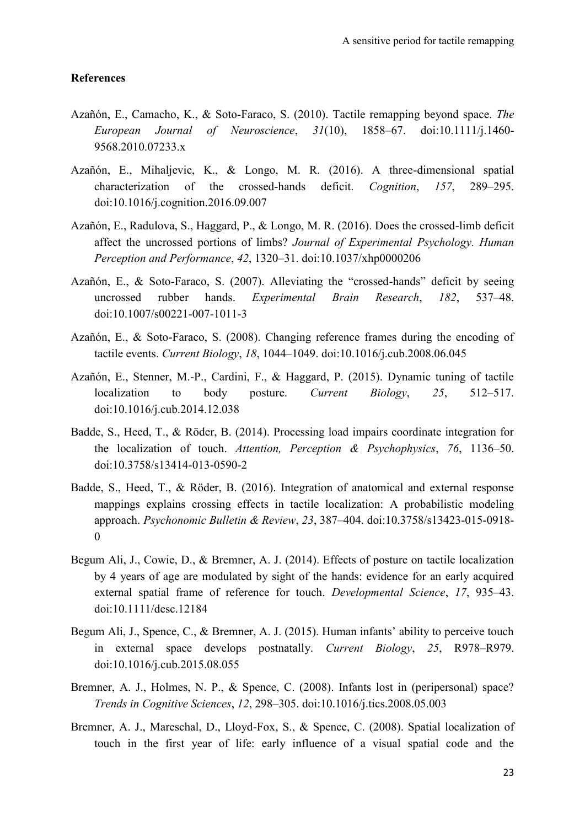#### **References**

- Azañón, E., Camacho, K., & Soto-Faraco, S. (2010). Tactile remapping beyond space. *The European Journal of Neuroscience*, *31*(10), 1858–67. doi:10.1111/j.1460- 9568.2010.07233.x
- Azañón, E., Mihaljevic, K., & Longo, M. R. (2016). A three-dimensional spatial characterization of the crossed-hands deficit. *Cognition*, *157*, 289–295. doi:10.1016/j.cognition.2016.09.007
- Azañón, E., Radulova, S., Haggard, P., & Longo, M. R. (2016). Does the crossed-limb deficit affect the uncrossed portions of limbs? *Journal of Experimental Psychology. Human Perception and Performance*, *42*, 1320–31. doi:10.1037/xhp0000206
- Azañón, E., & Soto-Faraco, S. (2007). Alleviating the "crossed-hands" deficit by seeing uncrossed rubber hands. *Experimental Brain Research*, *182*, 537–48. doi:10.1007/s00221-007-1011-3
- Azañón, E., & Soto-Faraco, S. (2008). Changing reference frames during the encoding of tactile events. *Current Biology*, *18*, 1044–1049. doi:10.1016/j.cub.2008.06.045
- Azañón, E., Stenner, M.-P., Cardini, F., & Haggard, P. (2015). Dynamic tuning of tactile localization to body posture. *Current Biology*, *25*, 512–517. doi:10.1016/j.cub.2014.12.038
- Badde, S., Heed, T., & Röder, B. (2014). Processing load impairs coordinate integration for the localization of touch. *Attention, Perception & Psychophysics*, *76*, 1136–50. doi:10.3758/s13414-013-0590-2
- Badde, S., Heed, T., & Röder, B. (2016). Integration of anatomical and external response mappings explains crossing effects in tactile localization: A probabilistic modeling approach. *Psychonomic Bulletin & Review*, *23*, 387–404. doi:10.3758/s13423-015-0918- 0
- Begum Ali, J., Cowie, D., & Bremner, A. J. (2014). Effects of posture on tactile localization by 4 years of age are modulated by sight of the hands: evidence for an early acquired external spatial frame of reference for touch. *Developmental Science*, *17*, 935–43. doi:10.1111/desc.12184
- Begum Ali, J., Spence, C., & Bremner, A. J. (2015). Human infants' ability to perceive touch in external space develops postnatally. *Current Biology*, *25*, R978–R979. doi:10.1016/j.cub.2015.08.055
- Bremner, A. J., Holmes, N. P., & Spence, C. (2008). Infants lost in (peripersonal) space? *Trends in Cognitive Sciences*, *12*, 298–305. doi:10.1016/j.tics.2008.05.003
- Bremner, A. J., Mareschal, D., Lloyd-Fox, S., & Spence, C. (2008). Spatial localization of touch in the first year of life: early influence of a visual spatial code and the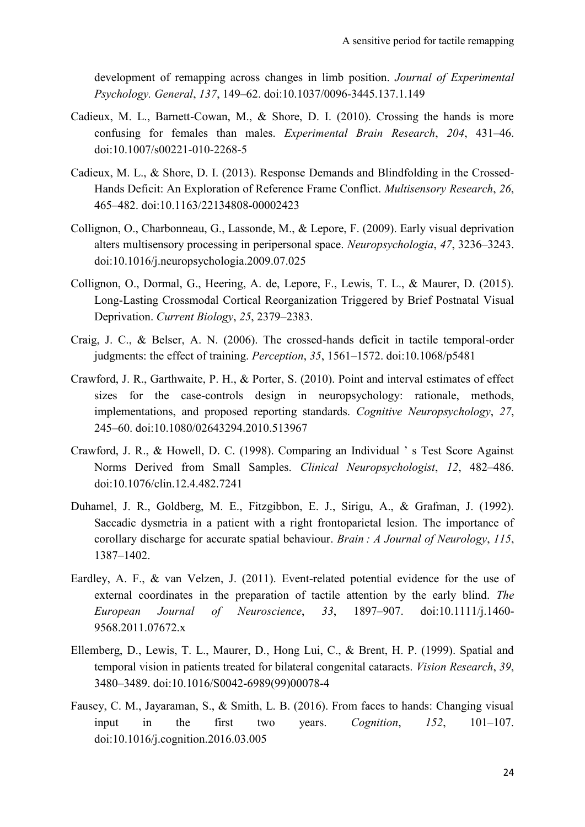development of remapping across changes in limb position. *Journal of Experimental Psychology. General*, *137*, 149–62. doi:10.1037/0096-3445.137.1.149

- Cadieux, M. L., Barnett-Cowan, M., & Shore, D. I. (2010). Crossing the hands is more confusing for females than males. *Experimental Brain Research*, *204*, 431–46. doi:10.1007/s00221-010-2268-5
- Cadieux, M. L., & Shore, D. I. (2013). Response Demands and Blindfolding in the Crossed-Hands Deficit: An Exploration of Reference Frame Conflict. *Multisensory Research*, *26*, 465–482. doi:10.1163/22134808-00002423
- Collignon, O., Charbonneau, G., Lassonde, M., & Lepore, F. (2009). Early visual deprivation alters multisensory processing in peripersonal space. *Neuropsychologia*, *47*, 3236–3243. doi:10.1016/j.neuropsychologia.2009.07.025
- Collignon, O., Dormal, G., Heering, A. de, Lepore, F., Lewis, T. L., & Maurer, D. (2015). Long-Lasting Crossmodal Cortical Reorganization Triggered by Brief Postnatal Visual Deprivation. *Current Biology*, *25*, 2379–2383.
- Craig, J. C., & Belser, A. N. (2006). The crossed-hands deficit in tactile temporal-order judgments: the effect of training. *Perception*, *35*, 1561–1572. doi:10.1068/p5481
- Crawford, J. R., Garthwaite, P. H., & Porter, S. (2010). Point and interval estimates of effect sizes for the case-controls design in neuropsychology: rationale, methods, implementations, and proposed reporting standards. *Cognitive Neuropsychology*, *27*, 245–60. doi:10.1080/02643294.2010.513967
- Crawford, J. R., & Howell, D. C. (1998). Comparing an Individual ' s Test Score Against Norms Derived from Small Samples. *Clinical Neuropsychologist*, *12*, 482–486. doi:10.1076/clin.12.4.482.7241
- Duhamel, J. R., Goldberg, M. E., Fitzgibbon, E. J., Sirigu, A., & Grafman, J. (1992). Saccadic dysmetria in a patient with a right frontoparietal lesion. The importance of corollary discharge for accurate spatial behaviour. *Brain : A Journal of Neurology*, *115*, 1387–1402.
- Eardley, A. F., & van Velzen, J. (2011). Event-related potential evidence for the use of external coordinates in the preparation of tactile attention by the early blind. *The European Journal of Neuroscience*, *33*, 1897–907. doi:10.1111/j.1460- 9568.2011.07672.x
- Ellemberg, D., Lewis, T. L., Maurer, D., Hong Lui, C., & Brent, H. P. (1999). Spatial and temporal vision in patients treated for bilateral congenital cataracts. *Vision Research*, *39*, 3480–3489. doi:10.1016/S0042-6989(99)00078-4
- Fausey, C. M., Jayaraman, S., & Smith, L. B. (2016). From faces to hands: Changing visual input in the first two years. *Cognition*, *152*, 101–107. doi:10.1016/j.cognition.2016.03.005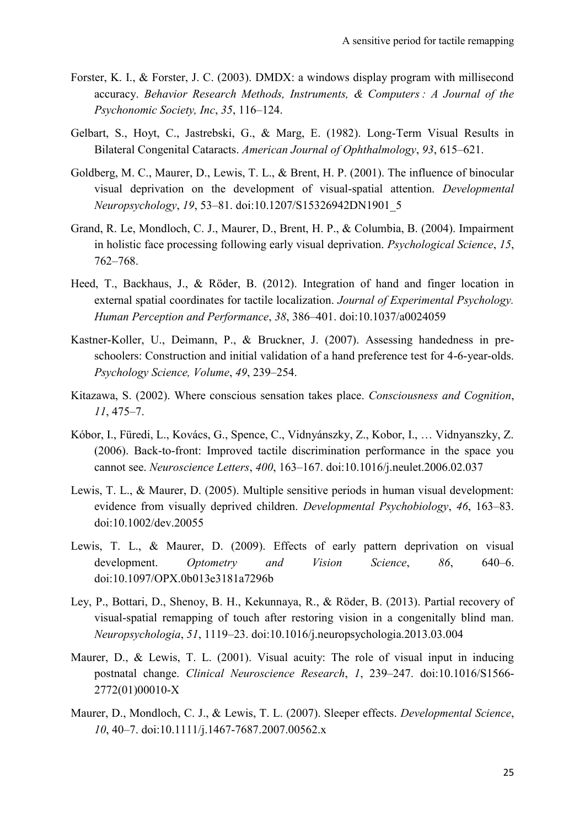- Forster, K. I., & Forster, J. C. (2003). DMDX: a windows display program with millisecond accuracy. *Behavior Research Methods, Instruments, & Computers : A Journal of the Psychonomic Society, Inc*, *35*, 116–124.
- Gelbart, S., Hoyt, C., Jastrebski, G., & Marg, E. (1982). Long-Term Visual Results in Bilateral Congenital Cataracts. *American Journal of Ophthalmology*, *93*, 615–621.
- Goldberg, M. C., Maurer, D., Lewis, T. L., & Brent, H. P. (2001). The influence of binocular visual deprivation on the development of visual-spatial attention. *Developmental Neuropsychology*, *19*, 53–81. doi:10.1207/S15326942DN1901\_5
- Grand, R. Le, Mondloch, C. J., Maurer, D., Brent, H. P., & Columbia, B. (2004). Impairment in holistic face processing following early visual deprivation. *Psychological Science*, *15*, 762–768.
- Heed, T., Backhaus, J., & Röder, B. (2012). Integration of hand and finger location in external spatial coordinates for tactile localization. *Journal of Experimental Psychology. Human Perception and Performance*, *38*, 386–401. doi:10.1037/a0024059
- Kastner-Koller, U., Deimann, P., & Bruckner, J. (2007). Assessing handedness in preschoolers: Construction and initial validation of a hand preference test for 4-6-year-olds. *Psychology Science, Volume*, *49*, 239–254.
- Kitazawa, S. (2002). Where conscious sensation takes place. *Consciousness and Cognition*, *11*, 475–7.
- Kóbor, I., Füredi, L., Kovács, G., Spence, C., Vidnyánszky, Z., Kobor, I., … Vidnyanszky, Z. (2006). Back-to-front: Improved tactile discrimination performance in the space you cannot see. *Neuroscience Letters*, *400*, 163–167. doi:10.1016/j.neulet.2006.02.037
- Lewis, T. L., & Maurer, D. (2005). Multiple sensitive periods in human visual development: evidence from visually deprived children. *Developmental Psychobiology*, *46*, 163–83. doi:10.1002/dev.20055
- Lewis, T. L., & Maurer, D. (2009). Effects of early pattern deprivation on visual development. *Optometry and Vision Science*, *86*, 640–6. doi:10.1097/OPX.0b013e3181a7296b
- Ley, P., Bottari, D., Shenoy, B. H., Kekunnaya, R., & Röder, B. (2013). Partial recovery of visual-spatial remapping of touch after restoring vision in a congenitally blind man. *Neuropsychologia*, *51*, 1119–23. doi:10.1016/j.neuropsychologia.2013.03.004
- Maurer, D., & Lewis, T. L. (2001). Visual acuity: The role of visual input in inducing postnatal change. *Clinical Neuroscience Research*, *1*, 239–247. doi:10.1016/S1566- 2772(01)00010-X
- Maurer, D., Mondloch, C. J., & Lewis, T. L. (2007). Sleeper effects. *Developmental Science*, *10*, 40–7. doi:10.1111/j.1467-7687.2007.00562.x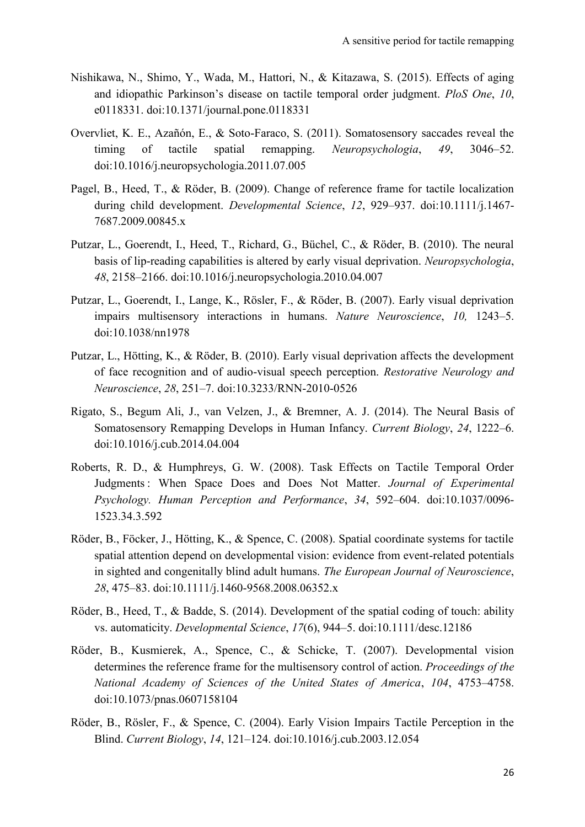- Nishikawa, N., Shimo, Y., Wada, M., Hattori, N., & Kitazawa, S. (2015). Effects of aging and idiopathic Parkinson's disease on tactile temporal order judgment. *PloS One*, *10*, e0118331. doi:10.1371/journal.pone.0118331
- Overvliet, K. E., Azañón, E., & Soto-Faraco, S. (2011). Somatosensory saccades reveal the timing of tactile spatial remapping. *Neuropsychologia*, *49*, 3046–52. doi:10.1016/j.neuropsychologia.2011.07.005
- Pagel, B., Heed, T., & Röder, B. (2009). Change of reference frame for tactile localization during child development. *Developmental Science*, *12*, 929–937. doi:10.1111/j.1467- 7687.2009.00845.x
- Putzar, L., Goerendt, I., Heed, T., Richard, G., Büchel, C., & Röder, B. (2010). The neural basis of lip-reading capabilities is altered by early visual deprivation. *Neuropsychologia*, *48*, 2158–2166. doi:10.1016/j.neuropsychologia.2010.04.007
- Putzar, L., Goerendt, I., Lange, K., Rösler, F., & Röder, B. (2007). Early visual deprivation impairs multisensory interactions in humans. *Nature Neuroscience*, *10,* 1243–5. doi:10.1038/nn1978
- Putzar, L., Hötting, K., & Röder, B. (2010). Early visual deprivation affects the development of face recognition and of audio-visual speech perception. *Restorative Neurology and Neuroscience*, *28*, 251–7. doi:10.3233/RNN-2010-0526
- Rigato, S., Begum Ali, J., van Velzen, J., & Bremner, A. J. (2014). The Neural Basis of Somatosensory Remapping Develops in Human Infancy. *Current Biology*, *24*, 1222–6. doi:10.1016/j.cub.2014.04.004
- Roberts, R. D., & Humphreys, G. W. (2008). Task Effects on Tactile Temporal Order Judgments : When Space Does and Does Not Matter. *Journal of Experimental Psychology. Human Perception and Performance*, *34*, 592–604. doi:10.1037/0096- 1523.34.3.592
- Röder, B., Föcker, J., Hötting, K., & Spence, C. (2008). Spatial coordinate systems for tactile spatial attention depend on developmental vision: evidence from event-related potentials in sighted and congenitally blind adult humans. *The European Journal of Neuroscience*, *28*, 475–83. doi:10.1111/j.1460-9568.2008.06352.x
- Röder, B., Heed, T., & Badde, S. (2014). Development of the spatial coding of touch: ability vs. automaticity. *Developmental Science*, *17*(6), 944–5. doi:10.1111/desc.12186
- Röder, B., Kusmierek, A., Spence, C., & Schicke, T. (2007). Developmental vision determines the reference frame for the multisensory control of action. *Proceedings of the National Academy of Sciences of the United States of America*, *104*, 4753–4758. doi:10.1073/pnas.0607158104
- Röder, B., Rösler, F., & Spence, C. (2004). Early Vision Impairs Tactile Perception in the Blind. *Current Biology*, *14*, 121–124. doi:10.1016/j.cub.2003.12.054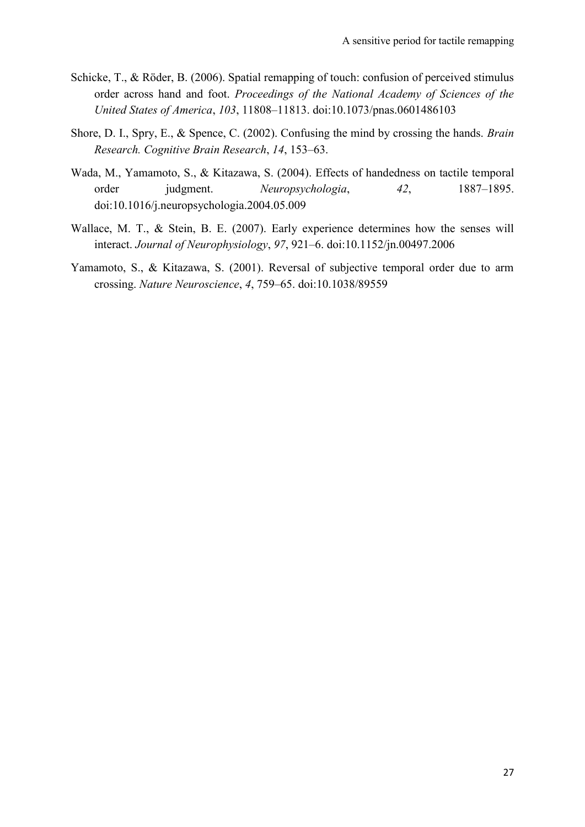- Schicke, T., & Röder, B. (2006). Spatial remapping of touch: confusion of perceived stimulus order across hand and foot. *Proceedings of the National Academy of Sciences of the United States of America*, *103*, 11808–11813. doi:10.1073/pnas.0601486103
- Shore, D. I., Spry, E., & Spence, C. (2002). Confusing the mind by crossing the hands. *Brain Research. Cognitive Brain Research*, *14*, 153–63.
- Wada, M., Yamamoto, S., & Kitazawa, S. (2004). Effects of handedness on tactile temporal order judgment. *Neuropsychologia*, *42*, 1887–1895. doi:10.1016/j.neuropsychologia.2004.05.009
- Wallace, M. T., & Stein, B. E. (2007). Early experience determines how the senses will interact. *Journal of Neurophysiology*, *97*, 921–6. doi:10.1152/jn.00497.2006
- Yamamoto, S., & Kitazawa, S. (2001). Reversal of subjective temporal order due to arm crossing. *Nature Neuroscience*, *4*, 759–65. doi:10.1038/89559